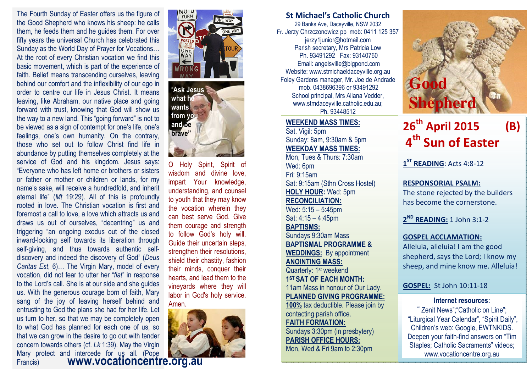The Fourth Sunday of Easter offers us the figure of the Good Shepherd who knows his sheep: he calls them, he feeds them and he guides them. For over fifty years the universal Church has celebrated this Sunday as the World Day of Prayer for Vocations… At the root of every Christian vocation we find this basic movement, which is part of the experience of faith. Belief means transcending ourselves, leaving behind our comfort and the inflexibility of our ego in order to centre our life in Jesus Christ. It means leaving, like Abraham, our native place and going forward with trust, knowing that God will show us the way to a new land. This "going forward" is not to be viewed as a sign of contempt for one's life, one's feelings, one's own humanity. On the contrary, those who set out to follow Christ find life in abundance by putting themselves completely at the service of God and his kingdom. Jesus says: "Everyone who has left home or brothers or sisters or father or mother or children or lands, for my name's sake, will receive a hundredfold, and inherit eternal life" (Mt 19:29). All of this is profoundly rooted in love. The Christian vocation is first and foremost a call to love, a love which attracts us and draws us out of ourselves, "decentring" us and triggering "an ongoing exodus out of the closed inward-looking self towards its liberation through self-giving, and thus towards authentic selfdiscovery and indeed the discovery of God" (Deus Caritas Est, 6)… The Virgin Mary, model of every vocation, did not fear to utter her "fiat" in response to the Lord's call. She is at our side and she guides us. With the generous courage born of faith, Mary sang of the joy of leaving herself behind and entrusting to God the plans she had for her life. Let us turn to her, so that we may be completely open to what God has planned for each one of us, so that we can grow in the desire to go out with tender concern towards others (cf. Lk 1:39). May the Virgin Mary protect and intercede for us all. (Pope Francis) **www.vocationcentre.org.au** 





O Holy Spirit, Spirit of wisdom and divine love, impart Your knowledge, understanding, and counsel to youth that they may know the vocation wherein they can best serve God. Give them courage and strength to follow God's holy will. Guide their uncertain steps, strengthen their resolutions, shield their chastity, fashion their minds, conquer their hearts, and lead them to the vineyards where they will labor in God's holy service. Amen.



#### St Michael's Catholic Church

29 Banks Ave, Daceyville, NSW 2032 Fr. Jerzy Chrzczonowicz pp mob: 0411 125 357 jerzy1junior@hotmail.com Parish secretary, Mrs Patricia Low Ph. 93491292 Fax: 93140760 Email: angelsville@bigpond.com Website: www.stmichaeldaceyville.org.au Foley Gardens manager, Mr. Joe de Andrade mob. 0438696396 or 93491292 School principal, Mrs Allana Vedder, www.stmdaceyville.catholic.edu.au; Ph. 93448512

WEEKEND MASS TIMES:Sat. Vigil: 5pm Sunday: 8am, 9:30am & 5pm WEEKDAY MASS TIMES: Mon, Tues & Thurs: 7:30am Wed: 6pm Fri: 9:15am Sat: 9:15am (Sthn Cross Hostel) HOLY HOUR: Wed: 5pm RECONCILIATION: Wed: 5:15 – 5:45pm Sat: 4:15 – 4:45pm BAPTISMS: Sundays 9:30am Mass BAPTISMAL PROGRAMME & WEDDINGS: By appointment ANOINTING MASS: Quarterly: 1<sup>st</sup> weekend 1<sup>ST</sup> SAT OF EACH MONTH: 11am Mass in honour of Our Lady. PLANNED GIVING PROGRAMME: 100% tax deductible. Please join by contacting parish office. FAITH FORMATION: Sundays 3:30pm (in presbytery)

PARISH OFFICE HOURS: Mon, Wed & Fri 9am to 2:30pm



# 26<sup>th</sup> April 2015 (B) 4<sup>th</sup> Sun of Easter

1<sup>ST</sup> READING: Acts 4:8-12

## RESPONSORIAL PSALM:

The stone rejected by the builders has become the cornerstone.

2<sup>ND</sup> READING: 1 John 3:1-2

#### GOSPEL ACCLAMATION:

Alleluia, alleluia! I am the good shepherd, says the Lord; I know my sheep, and mine know me. Alleluia!

#### GOSPEL: St John 10:11-18

#### Internet resources:

" Zenit News";"Catholic on Line"; "Liturgical Year Calendar", "Spirit Daily", Children's web: Google, EWTNKIDS. Deepen your faith-find answers on "Tim Staples; Catholic Sacraments" videos; www.vocationcentre.org.au